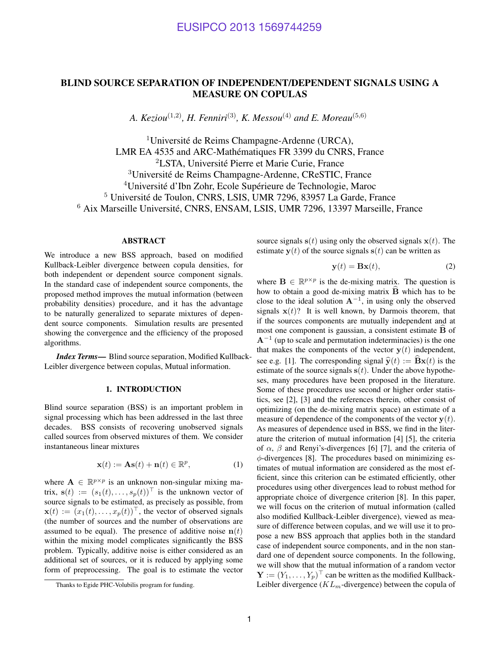# BLIND SOURCE SEPARATION OF INDEPENDENT/DEPENDENT SIGNALS USING A MEASURE ON COPULAS

*A. Keziou*<sup>(1,2)</sup>, *H. Fenniri*<sup>(3)</sup>, *K. Messou*<sup>(4)</sup> *and E. Moreau*<sup>(5,6)</sup>

 $1$ Université de Reims Champagne-Ardenne (URCA), LMR EA 4535 and ARC-Mathématiques FR 3399 du CNRS, France <sup>2</sup>LSTA, Universite Pierre et Marie Curie, France ´ <sup>3</sup>Université de Reims Champagne-Ardenne, CReSTIC, France  $4$ Université d'Ibn Zohr, Ecole Supérieure de Technologie, Maroc <sup>5</sup> Université de Toulon, CNRS, LSIS, UMR 7296, 83957 La Garde, France <sup>6</sup> Aix Marseille Université, CNRS, ENSAM, LSIS, UMR 7296, 13397 Marseille, France

# ABSTRACT

We introduce a new BSS approach, based on modified Kullback-Leibler divergence between copula densities, for both independent or dependent source component signals. In the standard case of independent source components, the proposed method improves the mutual information (between probability densities) procedure, and it has the advantage to be naturally generalized to separate mixtures of dependent source components. Simulation results are presented showing the convergence and the efficiency of the proposed algorithms.

*Index Terms*— Blind source separation, Modified Kullback-Leibler divergence between copulas, Mutual information.

# 1. INTRODUCTION

Blind source separation (BSS) is an important problem in signal processing which has been addressed in the last three decades. BSS consists of recovering unobserved signals called sources from observed mixtures of them. We consider instantaneous linear mixtures

$$
\mathbf{x}(t) := \mathbf{A}\mathbf{s}(t) + \mathbf{n}(t) \in \mathbb{R}^p, \tag{1}
$$

where  $A \in \mathbb{R}^{p \times p}$  is an unknown non-singular mixing matrix,  $\mathbf{s}(t) := (s_1(t), \dots, s_p(t))^\top$  is the unknown vector of source signals to be estimated, as precisely as possible, from  $\mathbf{x}(t) := (x_1(t), \dots, x_p(t))^\top$ , the vector of observed signals (the number of sources and the number of observations are assumed to be equal). The presence of additive noise  $n(t)$ within the mixing model complicates significantly the BSS problem. Typically, additive noise is either considered as an additional set of sources, or it is reduced by applying some form of preprocessing. The goal is to estimate the vector source signals  $s(t)$  using only the observed signals  $x(t)$ . The estimate  $y(t)$  of the source signals  $s(t)$  can be written as

$$
\mathbf{y}(t) = \mathbf{B}\mathbf{x}(t),\tag{2}
$$

where  $\mathbf{B} \in \mathbb{R}^{p \times p}$  is the de-mixing matrix. The question is how to obtain a good de-mixing matrix  $\hat{B}$  which has to be close to the ideal solution  $A^{-1}$ , in using only the observed signals  $x(t)$ ? It is well known, by Darmois theorem, that if the sources components are mutually independent and at most one component is gaussian, a consistent estimate  $\overline{B}$  of  $A^{-1}$  (up to scale and permutation indeterminacies) is the one that makes the components of the vector  $y(t)$  independent, see e.g. [1]. The corresponding signal  $\hat{y}(t) := \hat{B}x(t)$  is the estimate of the source signals  $s(t)$ . Under the above hypotheses, many procedures have been proposed in the literature. Some of these procedures use second or higher order statistics, see [2], [3] and the references therein, other consist of optimizing (on the de-mixing matrix space) an estimate of a measure of dependence of the components of the vector  $y(t)$ . As measures of dependence used in BSS, we find in the literature the criterion of mutual information [4] [5], the criteria of  $\alpha$ ,  $\beta$  and Renyi's-divergences [6] [7], and the criteria of  $\phi$ -divergences [8]. The procedures based on minimizing estimates of mutual information are considered as the most efficient, since this criterion can be estimated efficiently, other procedures using other divergences lead to robust method for appropriate choice of divergence criterion [8]. In this paper, we will focus on the criterion of mutual information (called also modified Kullback-Leibler divergence), viewed as measure of difference between copulas, and we will use it to propose a new BSS approach that applies both in the standard case of independent source components, and in the non standard one of dependent source components. In the following, we will show that the mutual information of a random vector  $\mathbf{Y} := (Y_1, \dots, Y_p)^\top$  can be written as the modified Kullback-Leibler divergence ( $KL_m$ -divergence) between the copula of

Thanks to Egide PHC-Volubilis program for funding.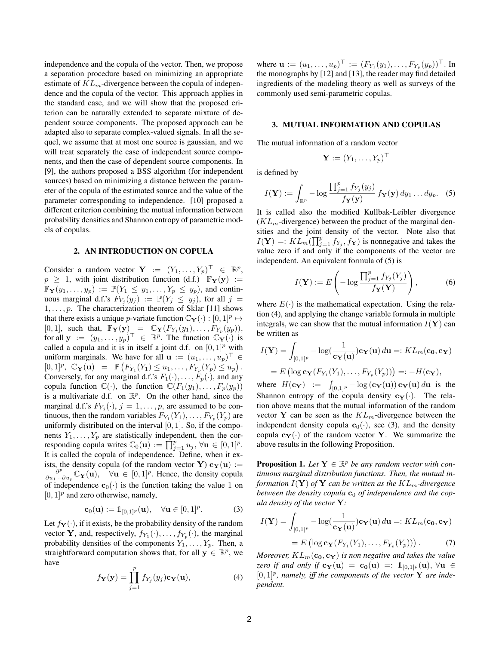independence and the copula of the vector. Then, we propose a separation procedure based on minimizing an appropriate estimate of  $KL_m$ -divergence between the copula of independence and the copula of the vector. This approach applies in the standard case, and we will show that the proposed criterion can be naturally extended to separate mixture of dependent source components. The proposed approach can be adapted also to separate complex-valued signals. In all the sequel, we assume that at most one source is gaussian, and we will treat separately the case of independent source components, and then the case of dependent source components. In [9], the authors proposed a BSS algorithm (for independent sources) based on minimizing a distance between the parameter of the copula of the estimated source and the value of the parameter corresponding to independence. [10] proposed a different criterion combining the mutual information between probability densities and Shannon entropy of parametric models of copulas.

# 2. AN INTRODUCTION ON COPULA

Consider a random vector  $\mathbf{Y} := (Y_1, \dots, Y_p)^\top \in \mathbb{R}^p$ ,  $p \geq 1$ , with joint distribution function (d.f.)  $\mathbb{F}_{\mathbf{Y}}(\mathbf{y}) :=$  $\mathbb{F}_{\mathbf{Y}}(y_1,\ldots,y_p) := \mathbb{P}(Y_1 \leq y_1,\ldots,Y_p \leq y_p)$ , and continuous marginal d.f.'s  $F_{Y_j}(y_j) := \mathbb{P}(Y_j \leq y_j)$ , for all  $j =$  $1, \ldots, p$ . The characterization theorem of Sklar [11] shows that there exists a unique *p*-variate function  $\mathbb{C}_{\mathbf{Y}}(\cdot) : [0,1]^p \mapsto$ [0, 1], such that,  $\mathbb{F}_{\mathbf{Y}}(\mathbf{y}) = \mathbb{C}_{\mathbf{Y}}(F_{Y_1}(y_1), \dots, F_{Y_p}(y_p)),$ for all  $\mathbf{y} := (y_1, \dots, y_p)^\top \in \mathbb{R}^p$ . The function  $\mathbb{C}_\mathbf{Y}(\cdot)$  is called a copula and it is in itself a joint d.f. on  $[0, 1]^p$  with uniform marginals. We have for all  $\mathbf{u} := (u_1, \dots, u_p)^\top \in$  $[0,1]^p$ ,  $\mathbb{C}_{\mathbf{Y}}(\mathbf{u}) = \mathbb{P}(F_{Y_1}(Y_1) \leq u_1, \ldots, F_{Y_p}(Y_p) \leq u_p).$ Conversely, for any marginal d.f.'s  $F_1(\cdot), \ldots, F_p(\cdot)$ , and any copula function  $\mathbb{C}(\cdot)$ , the function  $\mathbb{C}(F_1(y_1), \ldots, F_p(y_p))$ is a multivariate d.f. on  $\mathbb{R}^p$ . On the other hand, since the marginal d.f.'s  $F_{Y_j}(\cdot)$ ,  $j = 1, \ldots, p$ , are assumed to be continuous, then the random variables  $F_{Y_1}(Y_1), \ldots, F_{Y_p}(Y_p)$  are uniformly distributed on the interval  $[0, 1]$ . So, if the components  $Y_1, \ldots, Y_p$  are statistically independent, then the corresponding copula writes  $\mathbb{C}_0(\mathbf{u}) := \prod_{j=1}^p u_j, \forall \mathbf{u} \in [0,1]^p$ . It is called the copula of independence. Define, when it exists, the density copula (of the random vector Y)  $c_Y(u) :=$  $\partial^p$  $\frac{\partial^p}{\partial u_1 \cdots \partial u_p} \mathbb{C}_Y(\mathbf{u}), \quad \forall \mathbf{u} \in [0,1]^p$ . Hence, the density copula of independence  $\mathbf{c}_0(\cdot)$  is the function taking the value 1 on  $[0, 1]^p$  and zero otherwise, namely,

$$
\mathbf{c}_0(\mathbf{u}) := \mathbb{1}_{[0,1]^p}(\mathbf{u}), \quad \forall \mathbf{u} \in [0,1]^p. \tag{3}
$$

Let  $f_Y(\cdot)$ , if it exists, be the probability density of the random vector **Y**, and, respectively,  $f_{Y_1}(\cdot), \ldots, f_{Y_p}(\cdot)$ , the marginal probability densities of the components  $Y_1, \ldots, Y_p$ . Then, a straightforward computation shows that, for all  $y \in \mathbb{R}^p$ , we have

$$
f_{\mathbf{Y}}(\mathbf{y}) = \prod_{j=1}^{p} f_{Y_j}(y_j) \mathbf{c}_{\mathbf{Y}}(\mathbf{u}),
$$
 (4)

where  $\mathbf{u} := (u_1, \dots, u_p)^\top := (F_{Y_1}(y_1), \dots, F_{Y_p}(y_p))^\top$ . In the monographs by [12] and [13], the reader may find detailed ingredients of the modeling theory as well as surveys of the commonly used semi-parametric copulas.

# 3. MUTUAL INFORMATION AND COPULAS

The mutual information of a random vector

$$
\mathbf{Y}:=(Y_1,\ldots,Y_p)^\top
$$

is defined by

$$
I(\mathbf{Y}) := \int_{\mathbb{R}^p} -\log \frac{\prod_{j=1}^p f_{Y_j}(y_j)}{f_{\mathbf{Y}}(\mathbf{y})} f_{\mathbf{Y}}(\mathbf{y}) dy_1 \dots dy_p. \quad (5)
$$

It is called also the modified Kullbak-Leibler divergence  $(KL<sub>m</sub>$ -divergence) between the product of the marginal densities and the joint density of the vector. Note also that  $I(Y) =: KL_m(\prod_{j=1}^p f_{Y_j}, f_Y)$  is nonnegative and takes the value zero if and only if the components of the vector are independent. An equivalent formula of (5) is

$$
I(\mathbf{Y}) := E\left(-\log \frac{\prod_{j=1}^{p} f_{Y_j}(Y_j)}{f_{\mathbf{Y}}(\mathbf{Y})}\right),\tag{6}
$$

where  $E(\cdot)$  is the mathematical expectation. Using the relation (4), and applying the change variable formula in multiple integrals, we can show that the mutual information  $I(Y)$  can be written as

$$
I(\mathbf{Y}) = \int_{[0,1]^p} -\log(\frac{1}{\mathbf{c}_{\mathbf{Y}}(\mathbf{u})}) \mathbf{c}_{\mathbf{Y}}(\mathbf{u}) d\mathbf{u} =: KL_m(\mathbf{c}_0, \mathbf{c}_{\mathbf{Y}})
$$

$$
= E\left(\log \mathbf{c}_{\mathbf{Y}}(F_{Y_1}(Y_1), \dots, F_{Y_p}(Y_p))\right) =: -H(\mathbf{c}_{\mathbf{Y}}),
$$

where  $H(\mathbf{c}_{\mathbf{Y}}) := \int_{[0,1]^p} -\log(\mathbf{c}_{\mathbf{Y}}(\mathbf{u})) \mathbf{c}_{\mathbf{Y}}(\mathbf{u}) d\mathbf{u}$  is the Shannon entropy of the copula density  $c_Y(\cdot)$ . The relation above means that the mutual information of the random vector Y can be seen as the  $KL_m$ -divergence between the independent density copula  $\mathbf{c}_0(\cdot)$ , see (3), and the density copula  $c_Y(\cdot)$  of the random vector Y. We summarize the above results in the following Proposition.

**Proposition 1.** Let  $Y \in \mathbb{R}^p$  be any random vector with con*tinuous marginal distribution functions. Then, the mutual information*  $I(Y)$  *of*  $Y$  *can be written as the*  $KL_m$ -divergence *between the density copula*  $c_0$  *of independence and the copula density of the vector* Y*:*

$$
I(\mathbf{Y}) = \int_{[0,1]^p} -\log(\frac{1}{\mathbf{c}_{\mathbf{Y}}(\mathbf{u})}) \mathbf{c}_{\mathbf{Y}}(\mathbf{u}) d\mathbf{u} =: KL_m(\mathbf{c}_0, \mathbf{c}_{\mathbf{Y}})
$$

$$
= E\left(\log \mathbf{c}_{\mathbf{Y}}(F_{Y_1}(Y_1), \dots, F_{Y_p}(Y_p))\right). \tag{7}
$$

*Moreover,*  $KL_m(c_0, c_Y)$  *is non negative and takes the value zero if and only if*  $c_Y(u) = c_0(u) =: 1_{[0,1]^p}(u)$ ,  $\forall u \in$  $[0,1]^p$ , namely, iff the components of the vector Y are inde*pendent.*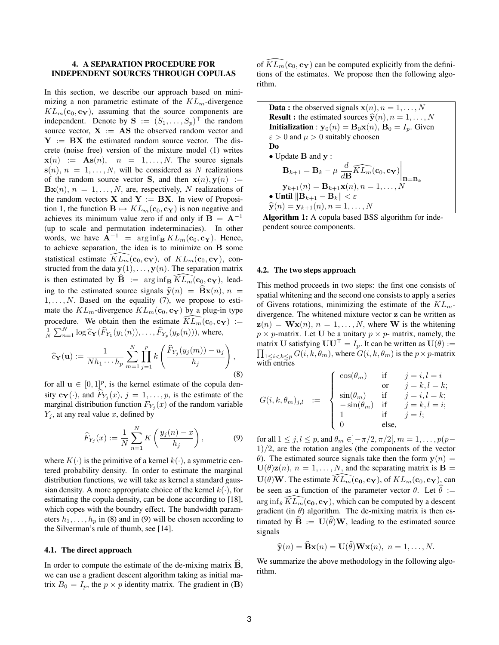# 4. A SEPARATION PROCEDURE FOR INDEPENDENT SOURCES THROUGH COPULAS

In this section, we describe our approach based on minimizing a non parametric estimate of the  $KL_m$ -divergence  $KL_m(c_0, c_Y)$ , assuming that the source components are independent. Denote by  $\mathbf{S} := (S_1, \dots, S_p)^\top$  the random source vector,  $X := AS$  the observed random vector and  $Y = BX$  the estimated random source vector. The discrete (noise free) version of the mixture model (1) writes  $\mathbf{x}(n) := \mathbf{As}(n), \quad n = 1, \ldots, N.$  The source signals  $s(n), n = 1, \ldots, N$ , will be considered as N realizations of the random source vector **S**, and then  $x(n), y(n) :=$  $Bx(n), n = 1, \ldots, N$ , are, respectively, N realizations of the random vectors **X** and **Y** := **BX**. In view of Proposition 1, the function  $\mathbf{B} \mapsto KL_m(\mathbf{c}_0, \mathbf{c}_{\mathbf{Y}})$  is non negative and achieves its minimum value zero if and only if  $B = A^{-1}$ (up to scale and permutation indeterminacies). In other words, we have  $\mathbf{A}^{-1}$  =  $\arg \inf_{\mathbf{B}} KL_m(\mathbf{c}_0, \mathbf{c}_\mathbf{Y})$ . Hence, to achieve separation, the idea is to minimize on B some statistical estimate  $KL_m(\mathbf{c}_0, \mathbf{c_Y})$ , of  $KL_m(\mathbf{c}_0, \mathbf{c_Y})$ , constructed from the data  $y(1), \ldots, y(n)$ . The separation matrix is then estimated by  $\mathbf{B} := \arg \inf_{\mathbf{B}} KL_m(\mathbf{c}_0, \mathbf{c}_{\mathbf{Y}})$ , leading to the estimated source signals  $\hat{y}(n) = \hat{B}x(n), n =$  $1, \ldots, N$ . Based on the equality (7), we propose to estimate the  $KL_m$ -divergence  $KL_m(c_0, c_Y)$  by a plug-in type procedure. We obtain then the estimate  $KL_m(c_0, c_Y) :=$  $\frac{1}{N}\sum_{n=1}^{N} \log \widehat{c}_{\mathbf{Y}}(\widehat{F}_{Y_1}(y_1(n)), \ldots, \widehat{F}_{Y_p}(y_p(n))),$  where,

$$
\widehat{c}_{\mathbf{Y}}(\mathbf{u}) := \frac{1}{Nh_1 \cdots h_p} \sum_{m=1}^{N} \prod_{j=1}^{p} k\left(\frac{\widehat{F}_{Y_j}(y_j(m)) - u_j}{h_j}\right),\tag{8}
$$

for all  $\mathbf{u} \in [0,1]^p$ , is the kernel estimate of the copula density  $c_Y(\cdot)$ , and  $F_{Y_j}(x)$ ,  $j = 1, \ldots, p$ , is the estimate of the marginal distribution function  $F_{Y_j}(x)$  of the random variable  $Y_i$ , at any real value x, defined by

$$
\widehat{F}_{Y_j}(x) := \frac{1}{N} \sum_{n=1}^{N} K\left(\frac{y_j(n) - x}{h_j}\right),
$$
 (9)

where  $K(\cdot)$  is the primitive of a kernel  $k(\cdot)$ , a symmetric centered probability density. In order to estimate the marginal distribution functions, we will take as kernel a standard gaussian density. A more appropriate choice of the kernel  $k(.)$ , for estimating the copula density, can be done according to [18], which copes with the boundry effect. The bandwidth parameters  $h_1, \ldots, h_p$  in (8) and in (9) will be chosen according to the Silverman's rule of thumb, see [14].

#### 4.1. The direct approach

In order to compute the estimate of the de-mixing matrix  $B$ , we can use a gradient descent algorithm taking as initial matrix  $B_0 = I_p$ , the  $p \times p$  identity matrix. The gradient in (**B**) of  $\widetilde{KL}_m(\mathbf{c}_0, \mathbf{c}_{\mathbf{Y}})$  can be computed explicitly from the definitions of the estimates. We propose then the following algorithm.

**Data :** the observed signals  $\mathbf{x}(n)$ ,  $n = 1, \ldots, N$ **Result :** the estimated sources  $\hat{y}(n), n = 1, ..., N$ **Initialization** :  $y_0(n) = B_0x(n)$ ,  $B_0 = I_n$ . Given  $\varepsilon > 0$  and  $\mu > 0$  suitably choosen Do • Update B and y :  $\mathbf{B}_{k+1} = \mathbf{B}_k - \mu \frac{d}{d\mathbf{I}}$  $\left.\frac{d}{d\mathbf{B}}\widehat{KL_{m}}(\mathbf{c}_{0},\mathbf{c_{Y}})\right|_{\mathbf{B}=\mathbf{B}_{k}}$  $y_{k+1}(n) = B_{k+1}x(n), n = 1, ..., N$ • Until  $\|\mathbf{B}_{k+1} - \mathbf{B}_{k}\| < \varepsilon$  $\hat{\mathbf{y}}(n) = \mathbf{y}_{k+1}(n), n = 1, \ldots, N$ 

Algorithm 1: A copula based BSS algorithm for independent source components.

#### 4.2. The two steps approach

This method proceeds in two steps: the first one consists of spatial whitening and the second one consists to apply a series of Givens rotations, minimizing the estimate of the  $KL_m$ divergence. The whitened mixture vector z can be written as  $z(n) = \mathbf{W} \mathbf{x}(n), n = 1, \dots, N$ , where W is the whitening  $p \times p$ -matrix. Let U be a unitary  $p \times p$ -matrix, namely, the matrix U satisfying  $UU^{\top} = I_p$ . It can be written as  $\mathbf{U}(\theta) :=$  $\prod_{1 \leq i < k \leq p} G(i, k, \theta_m)$ , where  $G(i, k, \theta_m)$  is the  $p \times p$ -matrix with entries

$$
G(i,k,\theta_m)_{j,l} \quad := \quad \left\{ \begin{array}{ll} \cos(\theta_m) & \text{if} & j=i,l=i\\ \text{or} & j=k,l=k;\\ \sin(\theta_m) & \text{if} & j=i,l=k;\\ -\sin(\theta_m) & \text{if} & j=k,l=i;\\ 1 & \text{if} & j=l;\\ 0 & \text{else,} \end{array} \right.
$$

for all  $1 \le j, l \le p$ , and  $\theta_m \in ]-\pi/2, \pi/2[$ ,  $m = 1, \ldots, p(p-1)$  $1/2$ , are the rotation angles (the components of the vector θ). The estimated source signals take then the form  $y(n) =$  $U(\theta)Z(n)$ ,  $n = 1, ..., N$ , and the separating matrix is  $B =$  $\mathbf{U}(\theta)\mathbf{W}$ . The estimate  $\widehat{KL_m}(\mathbf{c_0}, \mathbf{c_Y})$ , of  $KL_m(\mathbf{c_0}, \mathbf{c_Y})$ , can be seen as a function of the parameter vector  $\theta$ . Let  $\hat{\theta} :=$  $\arg \inf_{\theta} \widetilde{KL_m}(\mathbf{c_0}, \mathbf{c_Y})$ , which can be computed by a descent gradient (in  $\theta$ ) algorithm. The de-mixing matrix is then estimated by  $\hat{\mathbf{B}} := \mathbf{U}(\hat{\theta})\mathbf{W}$ , leading to the estimated source signals

$$
\widehat{\mathbf{y}}(n) = \widehat{\mathbf{B}}\mathbf{x}(n) = \mathbf{U}(\widehat{\theta})\mathbf{W}\mathbf{x}(n), \ n = 1, \dots, N.
$$

We summarize the above methodology in the following algorithm.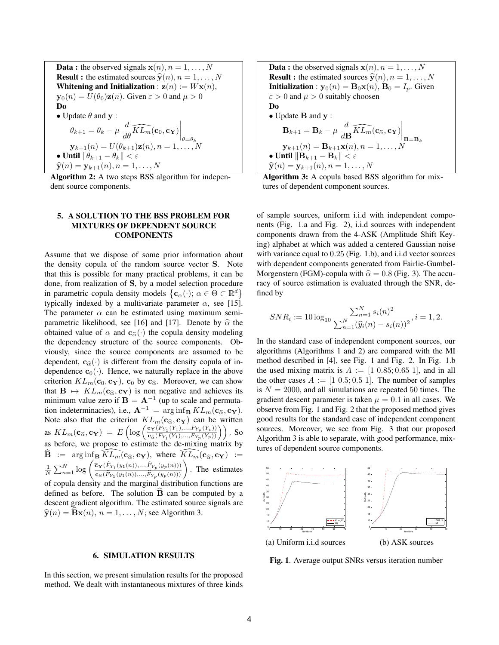**Data :** the observed signals  $\mathbf{x}(n)$ ,  $n = 1, \ldots, N$ **Result :** the estimated sources  $\hat{y}(n), n = 1, ..., N$ Whitening and Initialization :  $z(n) := Wx(n)$ ,  $\mathbf{v}_0(n) = U(\theta_0)\mathbf{z}(n)$ . Given  $\varepsilon > 0$  and  $\mu > 0$ Do • Update  $\theta$  and  $y$  :  $\theta_{k+1} = \theta_k - \mu \left. \frac{d}{d\theta} \widehat{KL_m}(\mathbf{c}_0, \mathbf{c_Y}) \right|_{\theta = \theta_k}$  $\mathbf{y}_{k+1}(n) = U(\theta_{k+1})\mathbf{z}(n), n = 1, \ldots, N$ • Until  $\|\theta_{k+1} - \theta_k\| < \varepsilon$  $\hat{\mathbf{y}}(n) = \mathbf{y}_{k+1}(n), n = 1, \ldots, N$ 

Algorithm 2: A two steps BSS algorithm for independent source components.

# 5. A SOLUTION TO THE BSS PROBLEM FOR MIXTURES OF DEPENDENT SOURCE **COMPONENTS**

Assume that we dispose of some prior information about the density copula of the random source vector S. Note that this is possible for many practical problems, it can be done, from realization of S, by a model selection procedure in parametric copula density models  $\{c_{\alpha}(\cdot); \alpha \in \Theta \subset \mathbb{R}^d\}$ typically indexed by a multivariate parameter  $\alpha$ , see [15]. The parameter  $\alpha$  can be estimated using maximum semiparametric likelihood, see [16] and [17]. Denote by  $\hat{\alpha}$  the obtained value of  $\alpha$  and  $c_{\hat{\alpha}}(\cdot)$  the copula density modeling the dependency structure of the source components. Obviously, since the source components are assumed to be dependent,  $c_{\hat{\alpha}}(\cdot)$  is different from the density copula of independence  $\mathbf{c}_0(\cdot)$ . Hence, we naturally replace in the above criterion  $KL_m(\mathbf{c}_0, \mathbf{c}_\mathbf{Y})$ ,  $\mathbf{c}_0$  by  $\mathbf{c}_{\widehat{\alpha}}$ . Moreover, we can show that  $\mathbf{B} \mapsto KL_m(\mathbf{c}_{\widehat{\alpha}}, \mathbf{c}_{\mathbf{Y}})$  is non negative and achieves its minimum value zero if  $B = A^{-1}$  (up to scale and permutation indeterminacies), i.e.,  $\mathbf{A}^{-1} = \arg \inf_{\mathbf{B}} KL_m(\mathbf{c}_{\widehat{\alpha}}, \mathbf{c}_{\mathbf{Y}}).$ Note also that the criterion  $KL_m(c_{\hat{\alpha}}, c_Y)$  can be written as  $KL_m(\mathbf{c}_{\widehat{\alpha}}, \mathbf{c}_{\mathbf{Y}}) = E\left(\log\left(\frac{\mathbf{c}_{\mathbf{Y}}(F_{Y_1}(Y_1),...,F_{Y_p}(Y_p))}{\mathbf{c}_{\widehat{\alpha}}(F_{Y_1}(Y_1),...,F_{Y_p}(Y_p))}\right)\right)$  $\frac{\mathbf{c_Y} (F_{Y_1}(Y_1),...,F_{Y_p}(Y_p))}{\mathbf{c}_{\widehat{\alpha}} (F_{Y_1}(Y_1),...,F_{Y_p}(Y_p))} \bigg)$ . So as before, we propose to estimate the de-mixing matrix by  $\widehat{\mathbf{B}}$  :=  $\arg\inf_{\mathbf{B}} \widehat{KL_m}(\mathbf{c}_{\widehat{\alpha}}, \mathbf{c}_{\mathbf{Y}})$ , where  $\widehat{KL_m}(\mathbf{c}_{\widehat{\alpha}}, \mathbf{c}_{\mathbf{Y}})$  :=<br>  $\frac{1}{N} \sum_{n=1}^N \log \left( \frac{\widehat{\mathbf{c}}_{\mathbf{Y}}(\widehat{F}_{Y_1}(y_1(n)), \dots, \widehat{F}_{Y_p}(y_p(n)))}{\widehat{\mathbf{c}}_{\widehat{\alpha}}(\widehat{F}_{Y_2}(y_1(n)), \dots, \widehat{F}_{Y_p$  $\frac{\hat{\mathbf{c}}_{\mathbf{Y}}(\hat{F}_{Y_1}(y_1(n)),...,\hat{F}_{Y_p}(y_p(n)))}{\hat{\mathbf{c}}_{\hat{\alpha}}(\hat{F}_{Y_1}(y_1(n)),...,\hat{F}_{Y_p}(y_p(n)))}$ . The estimates of copula density and the marginal distribution functions are defined as before. The solution  $\hat{B}$  can be computed by a descent gradient algorithm. The estimated source signals are  $\widehat{\mathbf{y}}(n) = \mathbf{B}\mathbf{x}(n), n = 1, \ldots, N$ ; see Algorithm 3.

# 6. SIMULATION RESULTS

In this section, we present simulation results for the proposed method. We dealt with instantaneous mixtures of three kinds

**Data :** the observed signals  $\mathbf{x}(n)$ ,  $n = 1, \ldots, N$ **Result :** the estimated sources  $\hat{y}(n), n = 1, ..., N$ **Initialization** :  $y_0(n) = B_0x(n)$ ,  $B_0 = I_n$ . Given  $\epsilon > 0$  and  $\mu > 0$  suitably choosen Do • Update B and y :  $\mathbf{B}_{k+1} = \mathbf{B}_k - \mu \frac{d}{d\mathbf{I}}$  $\left.\frac{d}{d\mathbf{B}}\widehat{KL_{m}}(\mathbf{c}_{\widehat{\alpha}}, \mathbf{c_{Y}})\right|_{\mathbf{B}=\mathbf{B}_{k}}$  $y_{k+1}(n) = B_{k+1}x(n), n = 1, ..., N$ • Until  $\|\mathbf{B}_{k+1} - \mathbf{B}_k\| < \varepsilon$  $\hat{\mathbf{y}}(n) = \mathbf{y}_{k+1}(n), n = 1, \ldots, N$ 

Algorithm 3: A copula based BSS algorithm for mixtures of dependent component sources.

of sample sources, uniform i.i.d with independent components (Fig. 1.a and Fig. 2), i.i.d sources with independent components drawn from the 4-ASK (Amplitude Shift Keying) alphabet at which was added a centered Gaussian noise with variance equal to 0.25 (Fig. 1.b), and i.i.d vector sources with dependent components generated from Fairlie-Gumbel-Morgenstern (FGM)-copula with  $\hat{\alpha} = 0.8$  (Fig. 3). The accuracy of source estimation is evaluated through the SNR, defined by

$$
SNR_i := 10 \log_{10} \frac{\sum_{n=1}^{N} s_i(n)^2}{\sum_{n=1}^{N} (\widehat{y}_i(n) - s_i(n))^2}, i = 1, 2.
$$

In the standard case of independent component sources, our algorithms (Algorithms 1 and 2) are compared with the MI method described in [4], see Fig. 1 and Fig. 2. In Fig. 1.b the used mixing matrix is  $A := [1 \ 0.85; 0.65 \ 1]$ , and in all the other cases  $A := [1 \ 0.5; 0.5 \ 1]$ . The number of samples is  $N = 2000$ , and all simulations are repeated 50 times. The gradient descent parameter is taken  $\mu = 0.1$  in all cases. We observe from Fig. 1 and Fig. 2 that the proposed method gives good results for the standard case of independent component sources. Moreover, we see from Fig. 3 that our proposed Algorithm 3 is able to separate, with good performance, mixtures of dependent source components.



Fig. 1. Average output SNRs versus iteration number